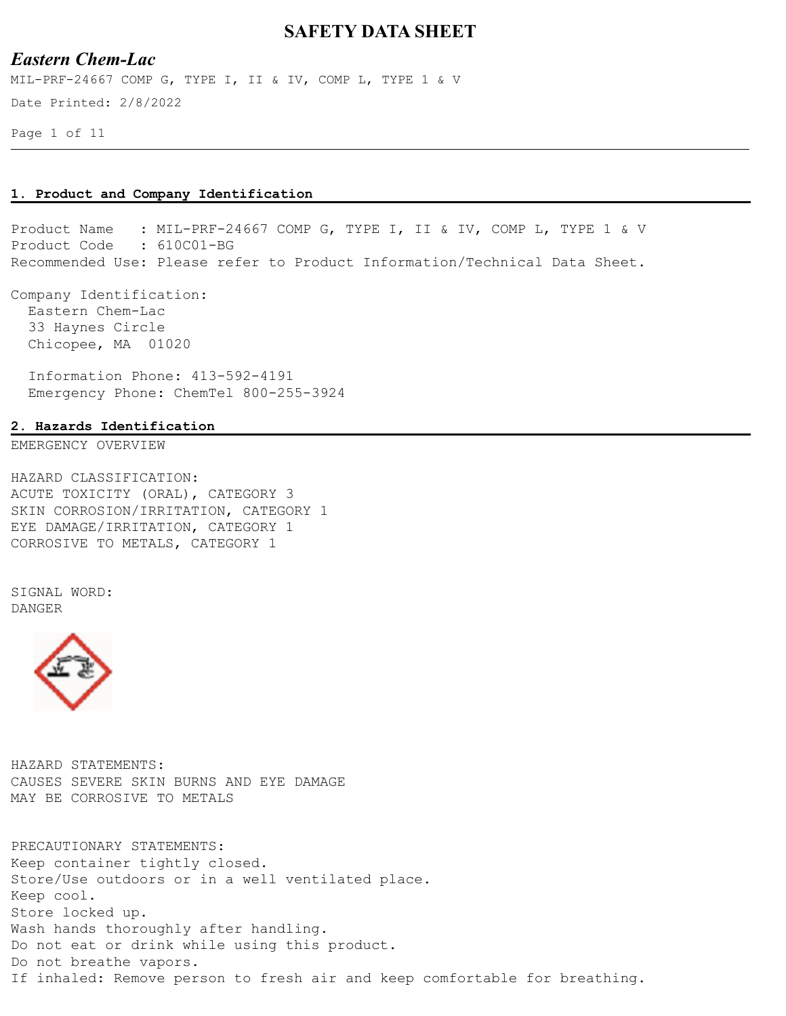# *Eastern Chem-Lac*

Date Printed: 2/8/2022 MIL-PRF-24667 COMP G, TYPE I, II & IV, COMP L, TYPE 1 & V

Page 1 of 11

#### **1. Product and Company Identification**

Product Name : MIL-PRF-24667 COMP G, TYPE I, II & IV, COMP L, TYPE 1 & V Product Code : 610C01-BG Recommended Use: Please refer to Product Information/Technical Data Sheet.

Company Identification: Eastern Chem-Lac 33 Haynes Circle Chicopee, MA 01020

 Information Phone: 413-592-4191 Emergency Phone: ChemTel 800-255-3924

#### **2. Hazards Identification**

EMERGENCY OVERVIEW

HAZARD CLASSIFICATION: ACUTE TOXICITY (ORAL), CATEGORY 3 SKIN CORROSION/IRRITATION, CATEGORY 1 EYE DAMAGE/IRRITATION, CATEGORY 1 CORROSIVE TO METALS, CATEGORY 1

SIGNAL WORD: DANGER



HAZARD STATEMENTS: CAUSES SEVERE SKIN BURNS AND EYE DAMAGE MAY BE CORROSIVE TO METALS

PRECAUTIONARY STATEMENTS: Keep container tightly closed. Store/Use outdoors or in a well ventilated place. Keep cool. Store locked up. Wash hands thoroughly after handling. Do not eat or drink while using this product. Do not breathe vapors. If inhaled: Remove person to fresh air and keep comfortable for breathing.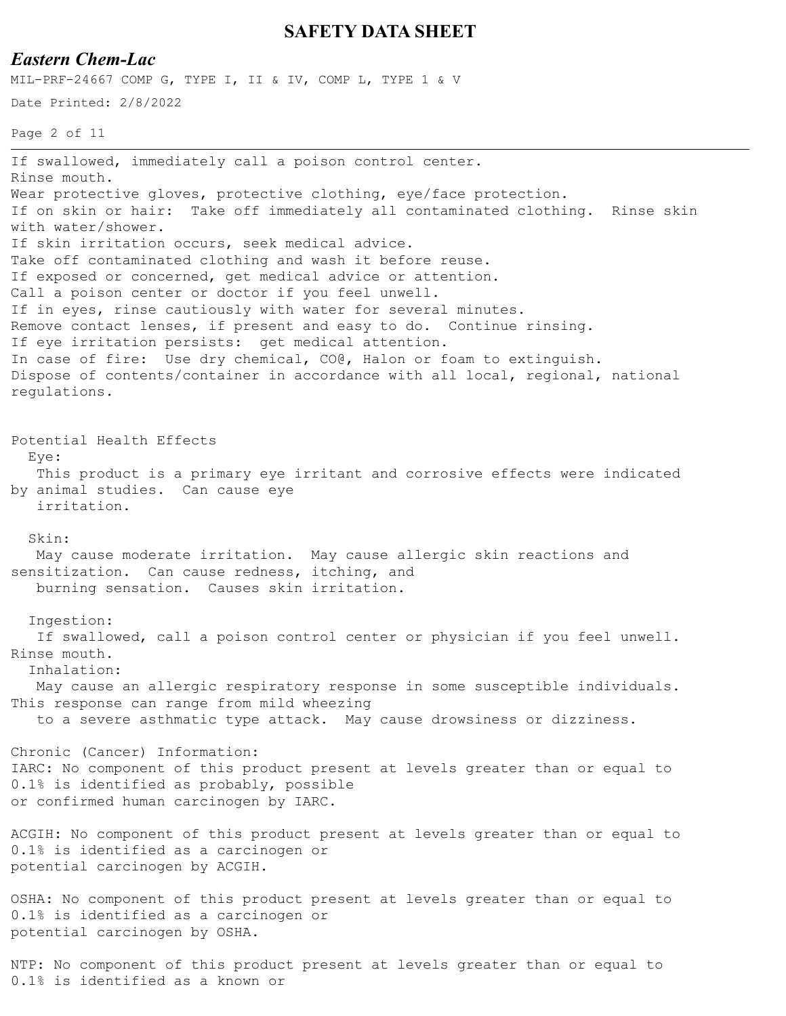### *Eastern Chem-Lac*

MIL-PRF-24667 COMP G, TYPE I, II & IV, COMP L, TYPE 1 & V

```
Date Printed: 2/8/2022
```

```
Page 2 of 11
```
If swallowed, immediately call a poison control center. Rinse mouth. Wear protective gloves, protective clothing, eye/face protection. If on skin or hair: Take off immediately all contaminated clothing. Rinse skin with water/shower. If skin irritation occurs, seek medical advice. Take off contaminated clothing and wash it before reuse. If exposed or concerned, get medical advice or attention. Call a poison center or doctor if you feel unwell. If in eyes, rinse cautiously with water for several minutes. Remove contact lenses, if present and easy to do. Continue rinsing. If eye irritation persists: get medical attention. In case of fire: Use dry chemical, CO@, Halon or foam to extinguish. Dispose of contents/container in accordance with all local, regional, national regulations. Potential Health Effects Eye: This product is a primary eye irritant and corrosive effects were indicated by animal studies. Can cause eye irritation. Skin: May cause moderate irritation. May cause allergic skin reactions and sensitization. Can cause redness, itching, and burning sensation. Causes skin irritation. Ingestion: If swallowed, call a poison control center or physician if you feel unwell. Rinse mouth. Inhalation: May cause an allergic respiratory response in some susceptible individuals. This response can range from mild wheezing to a severe asthmatic type attack. May cause drowsiness or dizziness. Chronic (Cancer) Information: IARC: No component of this product present at levels greater than or equal to 0.1% is identified as probably, possible or confirmed human carcinogen by IARC. ACGIH: No component of this product present at levels greater than or equal to 0.1% is identified as a carcinogen or potential carcinogen by ACGIH. OSHA: No component of this product present at levels greater than or equal to 0.1% is identified as a carcinogen or potential carcinogen by OSHA.

NTP: No component of this product present at levels greater than or equal to 0.1% is identified as a known or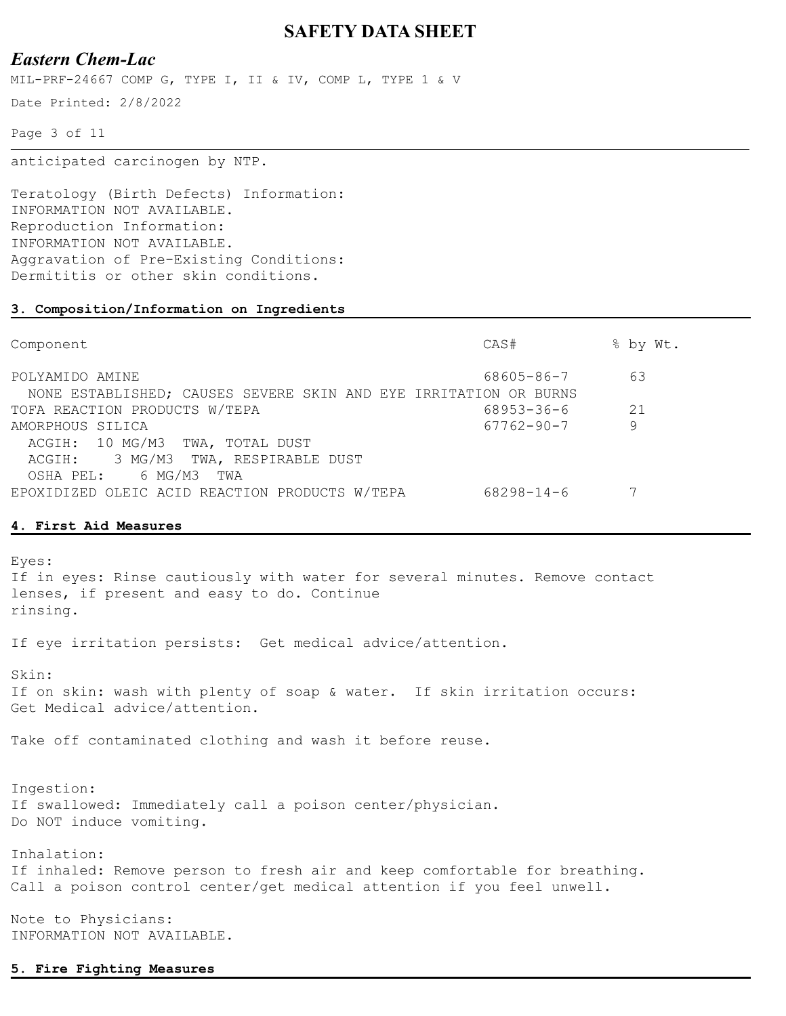# *Eastern Chem-Lac*

MIL-PRF-24667 COMP G, TYPE I, II & IV, COMP L, TYPE 1 & V

Date Printed: 2/8/2022

Page 3 of 11

anticipated carcinogen by NTP.

Teratology (Birth Defects) Information: INFORMATION NOT AVAILABLE. Reproduction Information: INFORMATION NOT AVAILABLE. Aggravation of Pre-Existing Conditions: Dermititis or other skin conditions.

#### **3. Composition/Information on Ingredients**

| Component                                                                                  | CAS#             | % by Wt. |
|--------------------------------------------------------------------------------------------|------------------|----------|
| POLYAMIDO AMINE<br>NONE ESTABLISHED; CAUSES SEVERE SKIN AND EYE IRRITATION OR BURNS        | 68605-86-7       | 63       |
| TOFA REACTION PRODUCTS W/TEPA                                                              | 68953-36-6       | 21       |
| AMORPHOUS SILICA<br>ACGIH: 10 MG/M3 TWA, TOTAL DUST<br>ACGIH: 3 MG/M3 TWA, RESPIRABLE DUST | $67762 - 90 - 7$ | 9        |
| 6 MG/M3<br>TWA<br>OSHA PEL:<br>EPOXIDIZED OLEIC ACID REACTION PRODUCTS W/TEPA              | $68298 - 14 - 6$ |          |

#### **4. First Aid Measures**

Eyes: If in eyes: Rinse cautiously with water for several minutes. Remove contact lenses, if present and easy to do. Continue rinsing. If eye irritation persists: Get medical advice/attention. Skin: If on skin: wash with plenty of soap & water. If skin irritation occurs: Get Medical advice/attention. Take off contaminated clothing and wash it before reuse. Ingestion: If swallowed: Immediately call a poison center/physician. Do NOT induce vomiting. Inhalation: If inhaled: Remove person to fresh air and keep comfortable for breathing. Call a poison control center/get medical attention if you feel unwell. Note to Physicians:

INFORMATION NOT AVAILABLE.

#### **5. Fire Fighting Measures**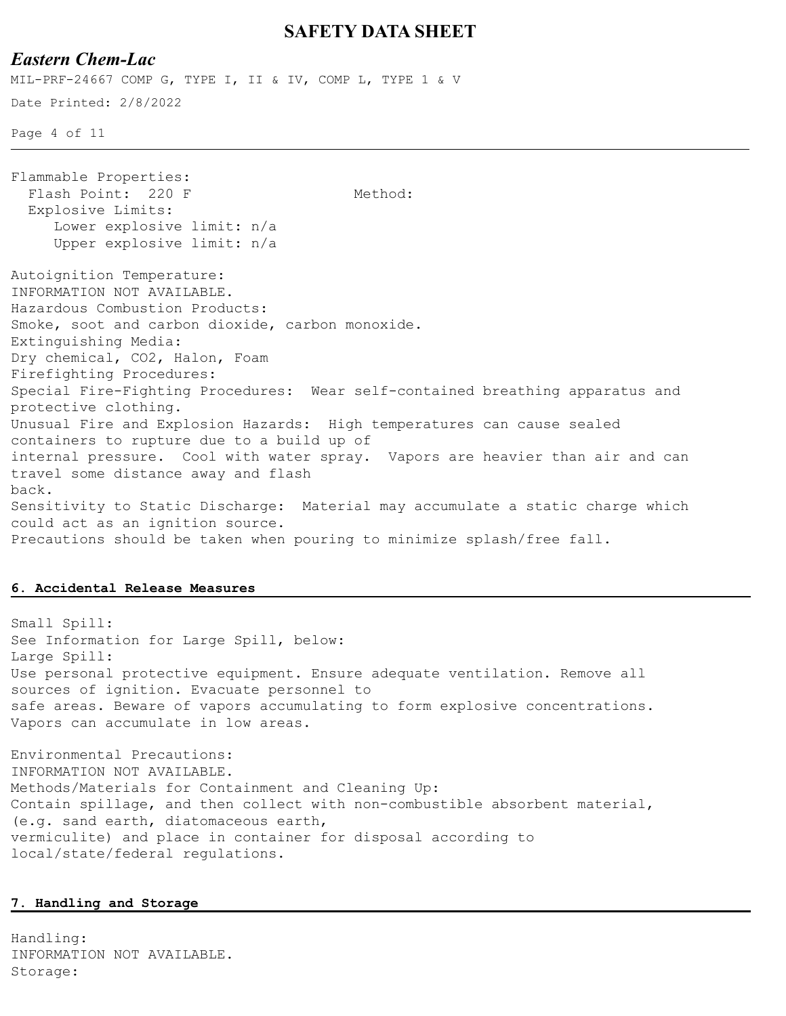## *Eastern Chem-Lac*

Date Printed: 2/8/2022 Page 4 of 11 MIL-PRF-24667 COMP G, TYPE I, II & IV, COMP L, TYPE 1 & V Flammable Properties: Flash Point: 220 F Method: Explosive Limits: Lower explosive limit: n/a Upper explosive limit: n/a Autoignition Temperature: INFORMATION NOT AVAILABLE. Hazardous Combustion Products: Smoke, soot and carbon dioxide, carbon monoxide. Extinguishing Media: Dry chemical, CO2, Halon, Foam Firefighting Procedures: Special Fire-Fighting Procedures: Wear self-contained breathing apparatus and protective clothing. Unusual Fire and Explosion Hazards: High temperatures can cause sealed containers to rupture due to a build up of internal pressure. Cool with water spray. Vapors are heavier than air and can travel some distance away and flash back. Sensitivity to Static Discharge: Material may accumulate a static charge which could act as an ignition source. Precautions should be taken when pouring to minimize splash/free fall.

#### **6. Accidental Release Measures**

Small Spill: See Information for Large Spill, below: Large Spill: Use personal protective equipment. Ensure adequate ventilation. Remove all sources of ignition. Evacuate personnel to safe areas. Beware of vapors accumulating to form explosive concentrations. Vapors can accumulate in low areas.

Environmental Precautions: INFORMATION NOT AVAILABLE. Methods/Materials for Containment and Cleaning Up: Contain spillage, and then collect with non-combustible absorbent material, (e.g. sand earth, diatomaceous earth, vermiculite) and place in container for disposal according to local/state/federal regulations.

#### **7. Handling and Storage**

Handling: INFORMATION NOT AVAILABLE. Storage: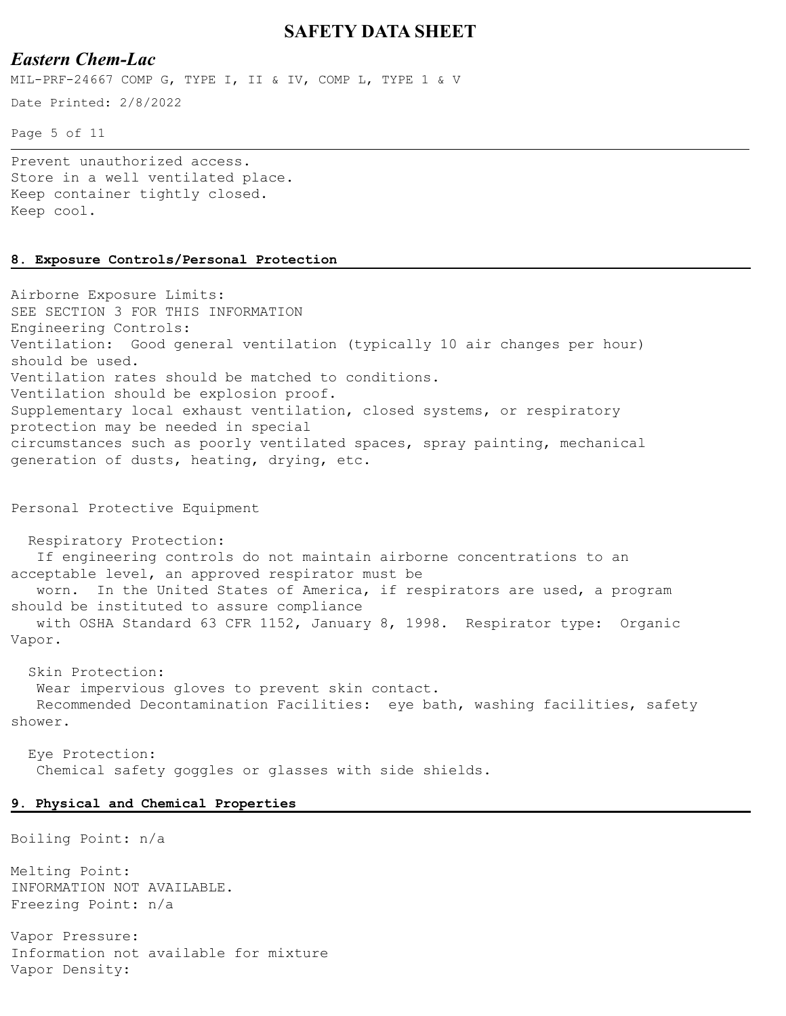#### *Eastern Chem-Lac*

MIL-PRF-24667 COMP G, TYPE I, II & IV, COMP L, TYPE 1 & V

Date Printed: 2/8/2022

Page 5 of 11

Prevent unauthorized access. Store in a well ventilated place. Keep container tightly closed. Keep cool.

#### **8. Exposure Controls/Personal Protection**

Airborne Exposure Limits: SEE SECTION 3 FOR THIS INFORMATION Engineering Controls: Ventilation: Good general ventilation (typically 10 air changes per hour) should be used. Ventilation rates should be matched to conditions. Ventilation should be explosion proof. Supplementary local exhaust ventilation, closed systems, or respiratory protection may be needed in special circumstances such as poorly ventilated spaces, spray painting, mechanical generation of dusts, heating, drying, etc.

Personal Protective Equipment

 Respiratory Protection: If engineering controls do not maintain airborne concentrations to an acceptable level, an approved respirator must be worn. In the United States of America, if respirators are used, a program should be instituted to assure compliance with OSHA Standard 63 CFR 1152, January 8, 1998. Respirator type: Organic Vapor.

 Skin Protection: Wear impervious gloves to prevent skin contact. Recommended Decontamination Facilities: eye bath, washing facilities, safety shower.

 Eye Protection: Chemical safety goggles or glasses with side shields.

#### **9. Physical and Chemical Properties**

Boiling Point: n/a

Melting Point: INFORMATION NOT AVAILABLE. Freezing Point: n/a

Vapor Pressure: Information not available for mixture Vapor Density: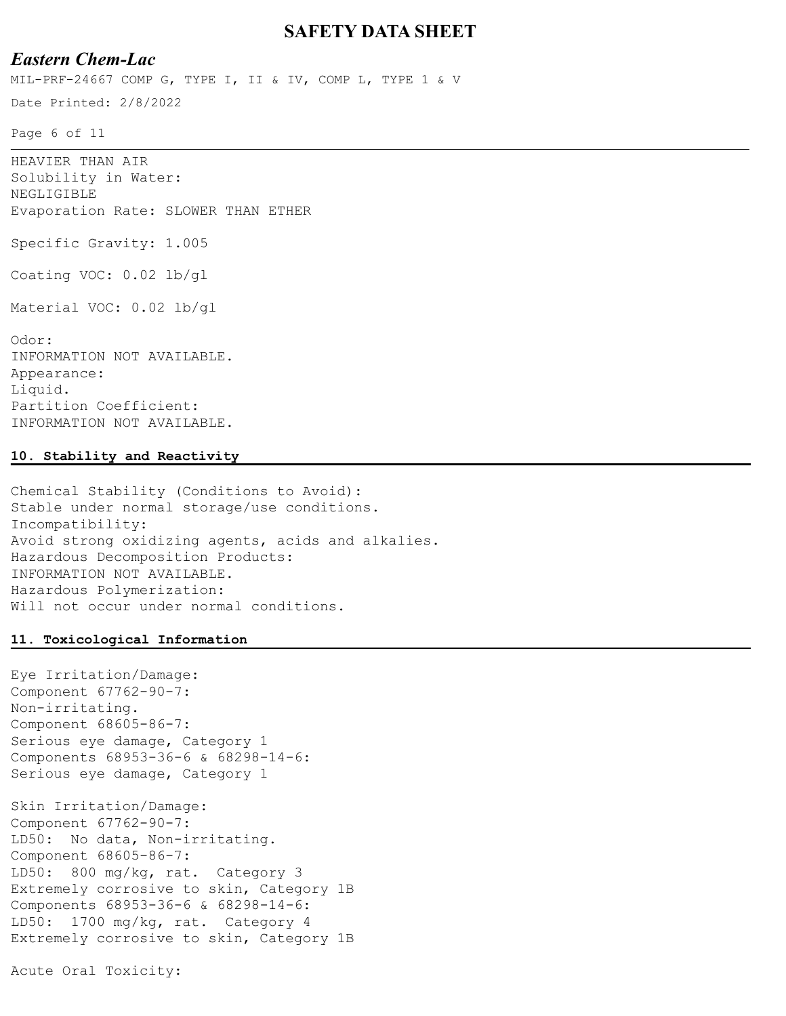# *Eastern Chem-Lac*

MIL-PRF-24667 COMP G, TYPE I, II & IV, COMP L, TYPE 1 & V

Date Printed: 2/8/2022

Page 6 of 11

HEAVIER THAN AIR Solubility in Water: NEGLIGIBLE Evaporation Rate: SLOWER THAN ETHER Specific Gravity: 1.005 Coating VOC: 0.02 lb/gl Material VOC: 0.02 lb/gl Odor: INFORMATION NOT AVAILABLE. Appearance: Liquid. Partition Coefficient: INFORMATION NOT AVAILABLE.

#### **10. Stability and Reactivity**

Chemical Stability (Conditions to Avoid): Stable under normal storage/use conditions. Incompatibility: Avoid strong oxidizing agents, acids and alkalies. Hazardous Decomposition Products: INFORMATION NOT AVAILABLE. Hazardous Polymerization: Will not occur under normal conditions.

#### **11. Toxicological Information**

Eye Irritation/Damage: Component 67762-90-7: Non-irritating. Component 68605-86-7: Serious eye damage, Category 1 Components 68953-36-6 & 68298-14-6: Serious eye damage, Category 1

Skin Irritation/Damage: Component 67762-90-7: LD50: No data, Non-irritating. Component 68605-86-7: LD50: 800 mg/kg, rat. Category 3 Extremely corrosive to skin, Category 1B Components 68953-36-6 & 68298-14-6: LD50: 1700 mg/kg, rat. Category 4 Extremely corrosive to skin, Category 1B

Acute Oral Toxicity: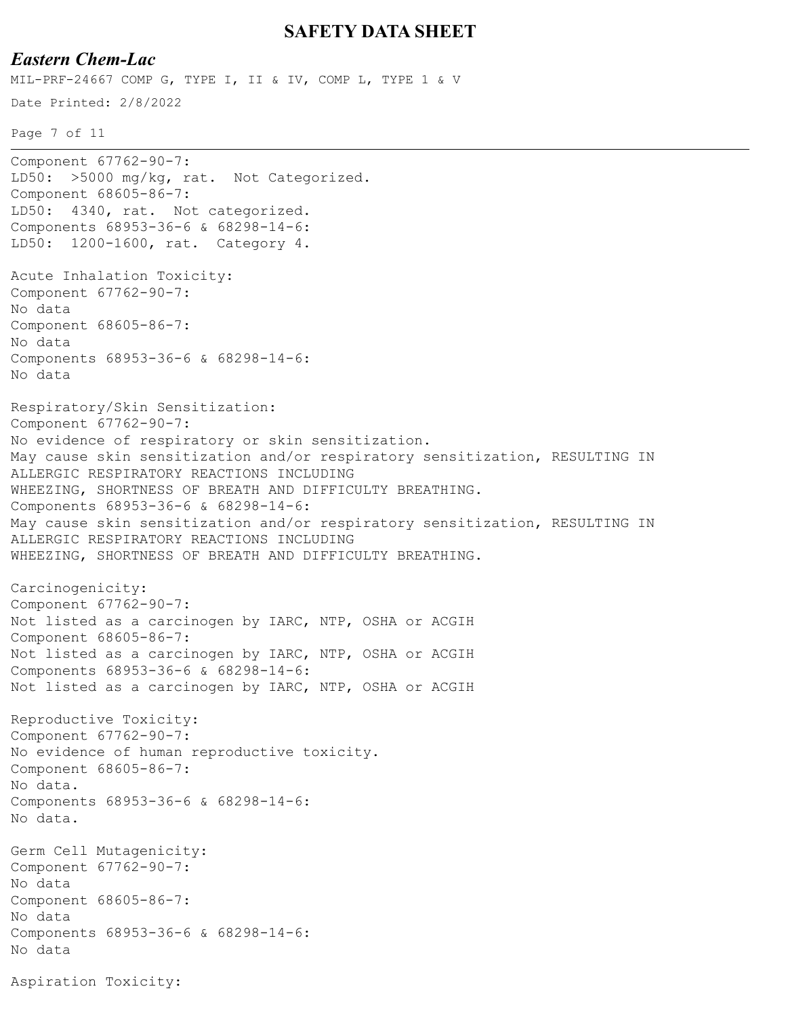### *Eastern Chem-Lac*

Date Printed: 2/8/2022 MIL-PRF-24667 COMP G, TYPE I, II & IV, COMP L, TYPE 1 & V

Page 7 of 11

```
Component 67762-90-7:
LD50: >5000 mg/kg, rat. Not Categorized.
Component 68605-86-7:
LD50: 4340, rat. Not categorized.
Components 68953-36-6 & 68298-14-6:
LD50: 1200-1600, rat. Category 4.
Acute Inhalation Toxicity:
Component 67762-90-7:
No data
Component 68605-86-7:
No data
Components 68953-36-6 & 68298-14-6:
No data
Respiratory/Skin Sensitization:
Component 67762-90-7:
No evidence of respiratory or skin sensitization.
May cause skin sensitization and/or respiratory sensitization, RESULTING IN 
ALLERGIC RESPIRATORY REACTIONS INCLUDING
WHEEZING, SHORTNESS OF BREATH AND DIFFICULTY BREATHING.
Components 68953-36-6 & 68298-14-6:
May cause skin sensitization and/or respiratory sensitization, RESULTING IN 
ALLERGIC RESPIRATORY REACTIONS INCLUDING
WHEEZING, SHORTNESS OF BREATH AND DIFFICULTY BREATHING.
Carcinogenicity:
Component 67762-90-7:
Not listed as a carcinogen by IARC, NTP, OSHA or ACGIH
Component 68605-86-7:
Not listed as a carcinogen by IARC, NTP, OSHA or ACGIH
Components 68953-36-6 & 68298-14-6:
Not listed as a carcinogen by IARC, NTP, OSHA or ACGIH
Reproductive Toxicity:
Component 67762-90-7:
No evidence of human reproductive toxicity.
Component 68605-86-7:
No data.
Components 68953-36-6 & 68298-14-6:
No data.
Germ Cell Mutagenicity:
Component 67762-90-7:
No data
Component 68605-86-7:
No data
Components 68953-36-6 & 68298-14-6:
No data
Aspiration Toxicity:
```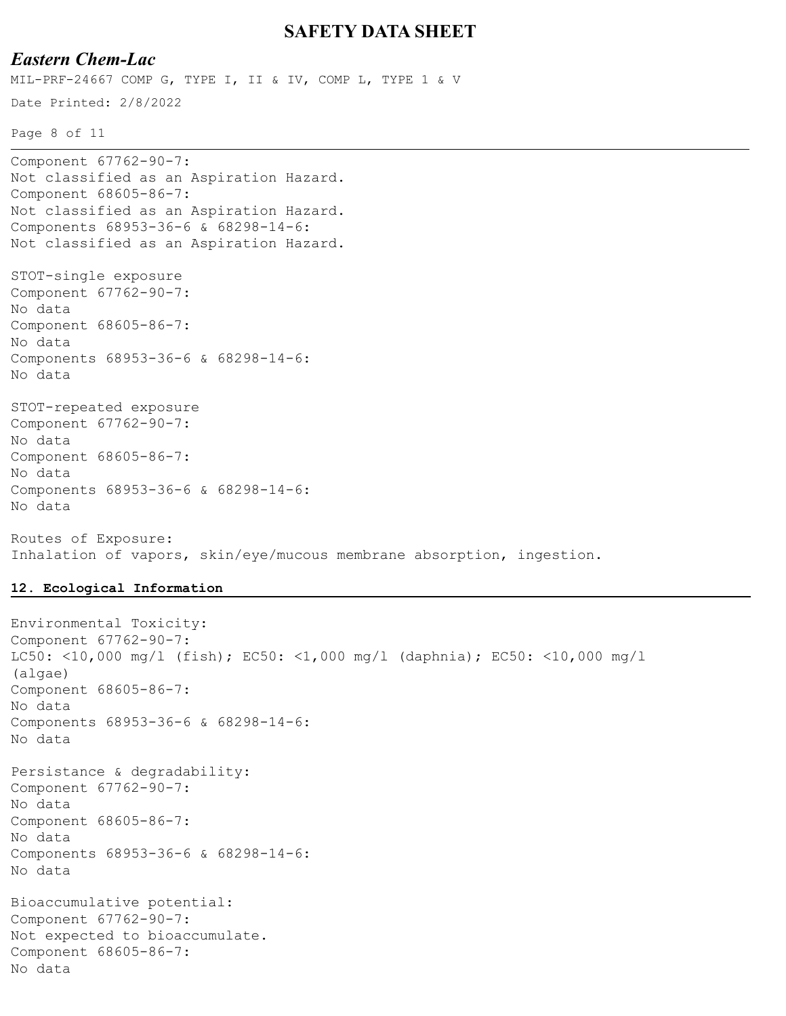# *Eastern Chem-Lac*

Date Printed: 2/8/2022 MIL-PRF-24667 COMP G, TYPE I, II & IV, COMP L, TYPE 1 & V

Page 8 of 11

```
Component 67762-90-7:
Not classified as an Aspiration Hazard.
Component 68605-86-7:
Not classified as an Aspiration Hazard.
Components 68953-36-6 & 68298-14-6:
Not classified as an Aspiration Hazard.
STOT-single exposure
Component 67762-90-7:
No data
Component 68605-86-7:
No data
Components 68953-36-6 & 68298-14-6:
No data
STOT-repeated exposure
Component 67762-90-7:
No data
Component 68605-86-7:
No data
Components 68953-36-6 & 68298-14-6:
No data
Routes of Exposure:
```
Inhalation of vapors, skin/eye/mucous membrane absorption, ingestion.

#### **12. Ecological Information**

```
Environmental Toxicity:
Component 67762-90-7:
LC50: <10,000 mg/l (fish); EC50: <1,000 mg/l (daphnia); EC50: <10,000 mg/l 
(algae)
Component 68605-86-7:
No data
Components 68953-36-6 & 68298-14-6:
No data
Persistance & degradability:
Component 67762-90-7:
No data
Component 68605-86-7:
No data
Components 68953-36-6 & 68298-14-6:
No data
Bioaccumulative potential:
Component 67762-90-7:
Not expected to bioaccumulate.
Component 68605-86-7:
No data
```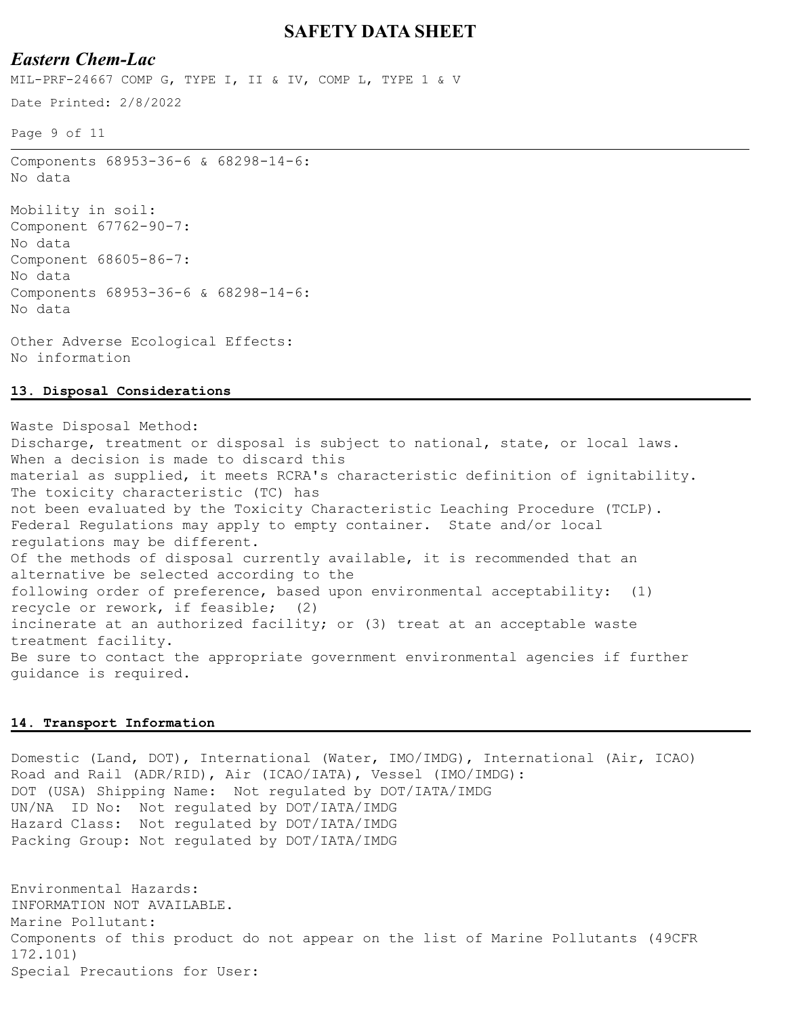# *Eastern Chem-Lac*

MIL-PRF-24667 COMP G, TYPE I, II & IV, COMP L, TYPE 1 & V

Date Printed: 2/8/2022

Page 9 of 11

Components 68953-36-6 & 68298-14-6: No data

Mobility in soil: Component 67762-90-7: No data Component 68605-86-7: No data Components 68953-36-6 & 68298-14-6: No data

Other Adverse Ecological Effects: No information

#### **13. Disposal Considerations**

Waste Disposal Method: Discharge, treatment or disposal is subject to national, state, or local laws. When a decision is made to discard this material as supplied, it meets RCRA's characteristic definition of ignitability. The toxicity characteristic (TC) has not been evaluated by the Toxicity Characteristic Leaching Procedure (TCLP). Federal Regulations may apply to empty container. State and/or local regulations may be different. Of the methods of disposal currently available, it is recommended that an alternative be selected according to the following order of preference, based upon environmental acceptability: (1) recycle or rework, if feasible; (2) incinerate at an authorized facility; or (3) treat at an acceptable waste treatment facility. Be sure to contact the appropriate government environmental agencies if further guidance is required.

#### **14. Transport Information**

Domestic (Land, DOT), International (Water, IMO/IMDG), International (Air, ICAO) Road and Rail (ADR/RID), Air (ICAO/IATA), Vessel (IMO/IMDG): DOT (USA) Shipping Name: Not regulated by DOT/IATA/IMDG UN/NA ID No: Not regulated by DOT/IATA/IMDG Hazard Class: Not regulated by DOT/IATA/IMDG Packing Group: Not regulated by DOT/IATA/IMDG

Environmental Hazards: INFORMATION NOT AVAILABLE. Marine Pollutant: Components of this product do not appear on the list of Marine Pollutants (49CFR 172.101) Special Precautions for User: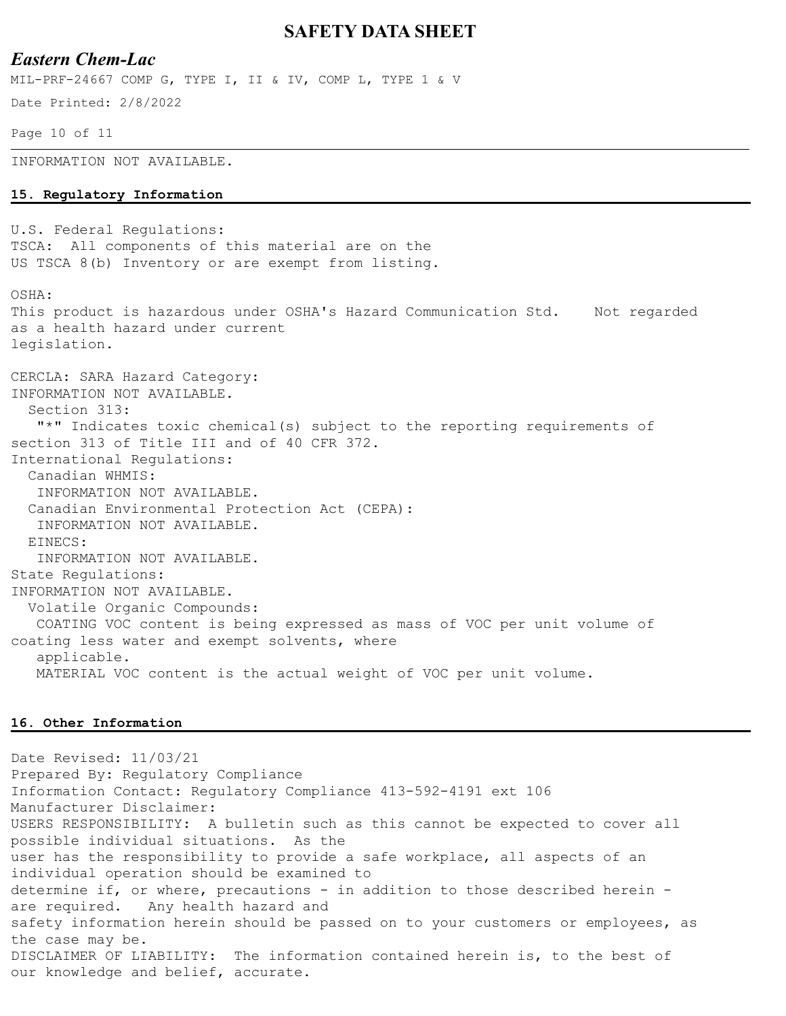#### *Eastern Chem-Lac*

Date Printed: 2/8/2022 MIL-PRF-24667 COMP G, TYPE I, II & IV, COMP L, TYPE 1 & V

Page 10 of 11

INFORMATION NOT AVAILABLE.

#### **15. Regulatory Information**

U.S. Federal Regulations: TSCA: All components of this material are on the US TSCA 8(b) Inventory or are exempt from listing.

OSHA:

This product is hazardous under OSHA's Hazard Communication Std. Not regarded as a health hazard under current legislation.

CERCLA: SARA Hazard Category: INFORMATION NOT AVAILABLE. Section 313: "\*" Indicates toxic chemical(s) subject to the reporting requirements of section 313 of Title III and of 40 CFR 372. International Regulations: Canadian WHMIS: INFORMATION NOT AVAILABLE. Canadian Environmental Protection Act (CEPA): INFORMATION NOT AVAILABLE. EINECS: INFORMATION NOT AVAILABLE. State Regulations: INFORMATION NOT AVAILABLE. Volatile Organic Compounds: COATING VOC content is being expressed as mass of VOC per unit volume of coating less water and exempt solvents, where applicable. MATERIAL VOC content is the actual weight of VOC per unit volume.

#### **16. Other Information**

Date Revised: 11/03/21 Prepared By: Regulatory Compliance Information Contact: Regulatory Compliance 413-592-4191 ext 106 Manufacturer Disclaimer: USERS RESPONSIBILITY: A bulletin such as this cannot be expected to cover all possible individual situations. As the user has the responsibility to provide a safe workplace, all aspects of an individual operation should be examined to determine if, or where, precautions - in addition to those described herein are required. Any health hazard and safety information herein should be passed on to your customers or employees, as the case may be. DISCLAIMER OF LIABILITY: The information contained herein is, to the best of our knowledge and belief, accurate.